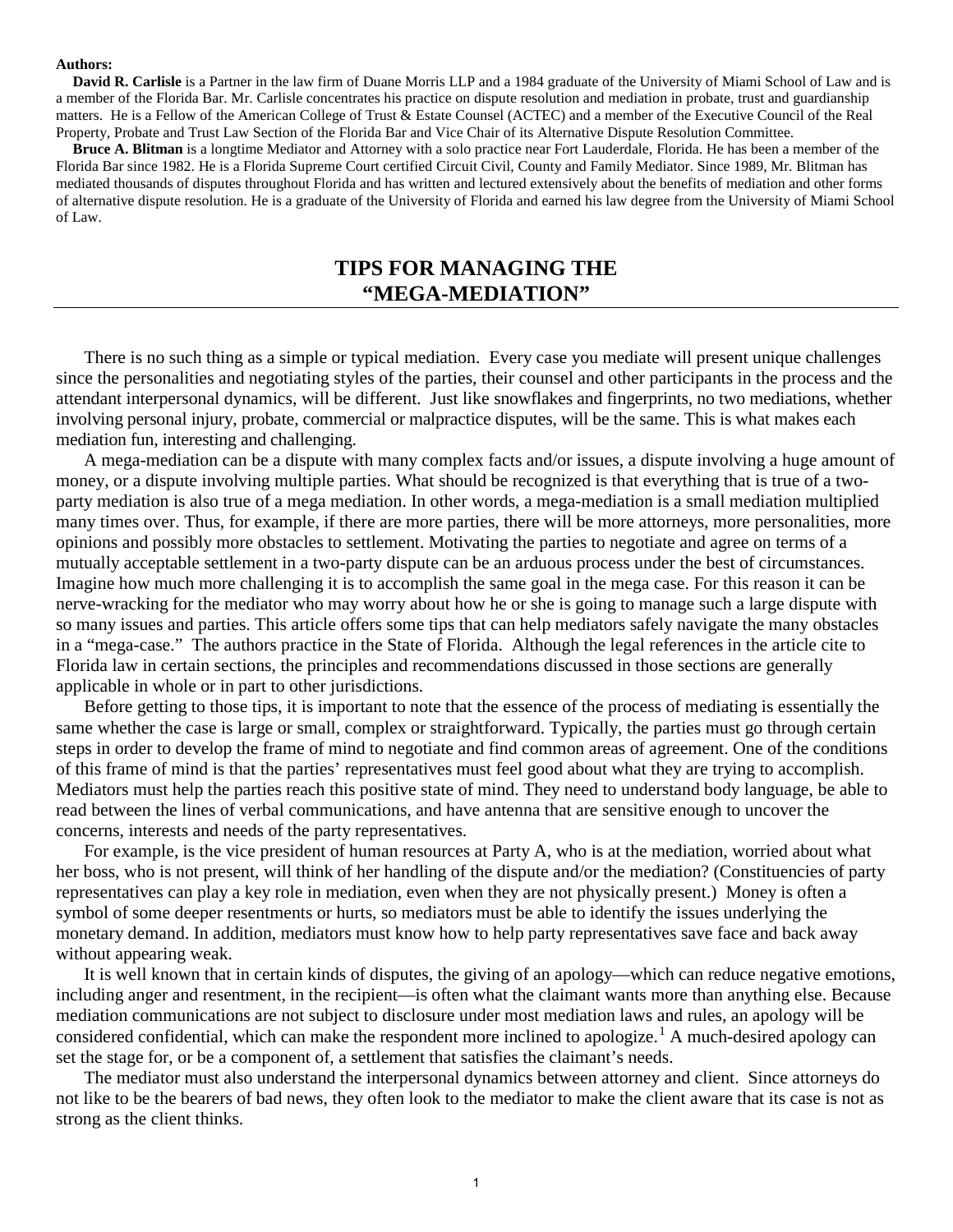#### **Authors:**

**David R. Carlisle** is a Partner in the law firm of Duane Morris LLP and a 1984 graduate of the University of Miami School of Law and is a member of the Florida Bar. Mr. Carlisle concentrates his practice on dispute resolution and mediation in probate, trust and guardianship matters. He is a Fellow of the American College of Trust & Estate Counsel (ACTEC) and a member of the Executive Council of the Real Property, Probate and Trust Law Section of the Florida Bar and Vice Chair of its Alternative Dispute Resolution Committee.

**Bruce A. Blitman** is a longtime Mediator and Attorney with a solo practice near Fort Lauderdale, Florida. He has been a member of the Florida Bar since 1982. He is a Florida Supreme Court certified Circuit Civil, County and Family Mediator. Since 1989, Mr. Blitman has mediated thousands of disputes throughout Florida and has written and lectured extensively about the benefits of mediation and other forms of alternative dispute resolution. He is a graduate of the University of Florida and earned his law degree from the University of Miami School of Law.

# **TIPS FOR MANAGING THE "MEGA-MEDIATION"**

There is no such thing as a simple or typical mediation. Every case you mediate will present unique challenges since the personalities and negotiating styles of the parties, their counsel and other participants in the process and the attendant interpersonal dynamics, will be different. Just like snowflakes and fingerprints, no two mediations, whether involving personal injury, probate, commercial or malpractice disputes, will be the same. This is what makes each mediation fun, interesting and challenging.

A mega-mediation can be a dispute with many complex facts and/or issues, a dispute involving a huge amount of money, or a dispute involving multiple parties. What should be recognized is that everything that is true of a twoparty mediation is also true of a mega mediation. In other words, a mega-mediation is a small mediation multiplied many times over. Thus, for example, if there are more parties, there will be more attorneys, more personalities, more opinions and possibly more obstacles to settlement. Motivating the parties to negotiate and agree on terms of a mutually acceptable settlement in a two-party dispute can be an arduous process under the best of circumstances. Imagine how much more challenging it is to accomplish the same goal in the mega case. For this reason it can be nerve-wracking for the mediator who may worry about how he or she is going to manage such a large dispute with so many issues and parties. This article offers some tips that can help mediators safely navigate the many obstacles in a "mega-case." The authors practice in the State of Florida. Although the legal references in the article cite to Florida law in certain sections, the principles and recommendations discussed in those sections are generally applicable in whole or in part to other jurisdictions.

Before getting to those tips, it is important to note that the essence of the process of mediating is essentially the same whether the case is large or small, complex or straightforward. Typically, the parties must go through certain steps in order to develop the frame of mind to negotiate and find common areas of agreement. One of the conditions of this frame of mind is that the parties' representatives must feel good about what they are trying to accomplish. Mediators must help the parties reach this positive state of mind. They need to understand body language, be able to read between the lines of verbal communications, and have antenna that are sensitive enough to uncover the concerns, interests and needs of the party representatives.

For example, is the vice president of human resources at Party A, who is at the mediation, worried about what her boss, who is not present, will think of her handling of the dispute and/or the mediation? (Constituencies of party representatives can play a key role in mediation, even when they are not physically present.) Money is often a symbol of some deeper resentments or hurts, so mediators must be able to identify the issues underlying the monetary demand. In addition, mediators must know how to help party representatives save face and back away without appearing weak.

It is well known that in certain kinds of disputes, the giving of an apology—which can reduce negative emotions, including anger and resentment, in the recipient—is often what the claimant wants more than anything else. Because mediation communications are not subject to disclosure under most mediation laws and rules, an apology will be considered confidential, which can make the respondent more inclined to apologize.<sup>[1](#page--1-0)</sup> A much-desired apology can set the stage for, or be a component of, a settlement that satisfies the claimant's needs.

The mediator must also understand the interpersonal dynamics between attorney and client. Since attorneys do not like to be the bearers of bad news, they often look to the mediator to make the client aware that its case is not as strong as the client thinks.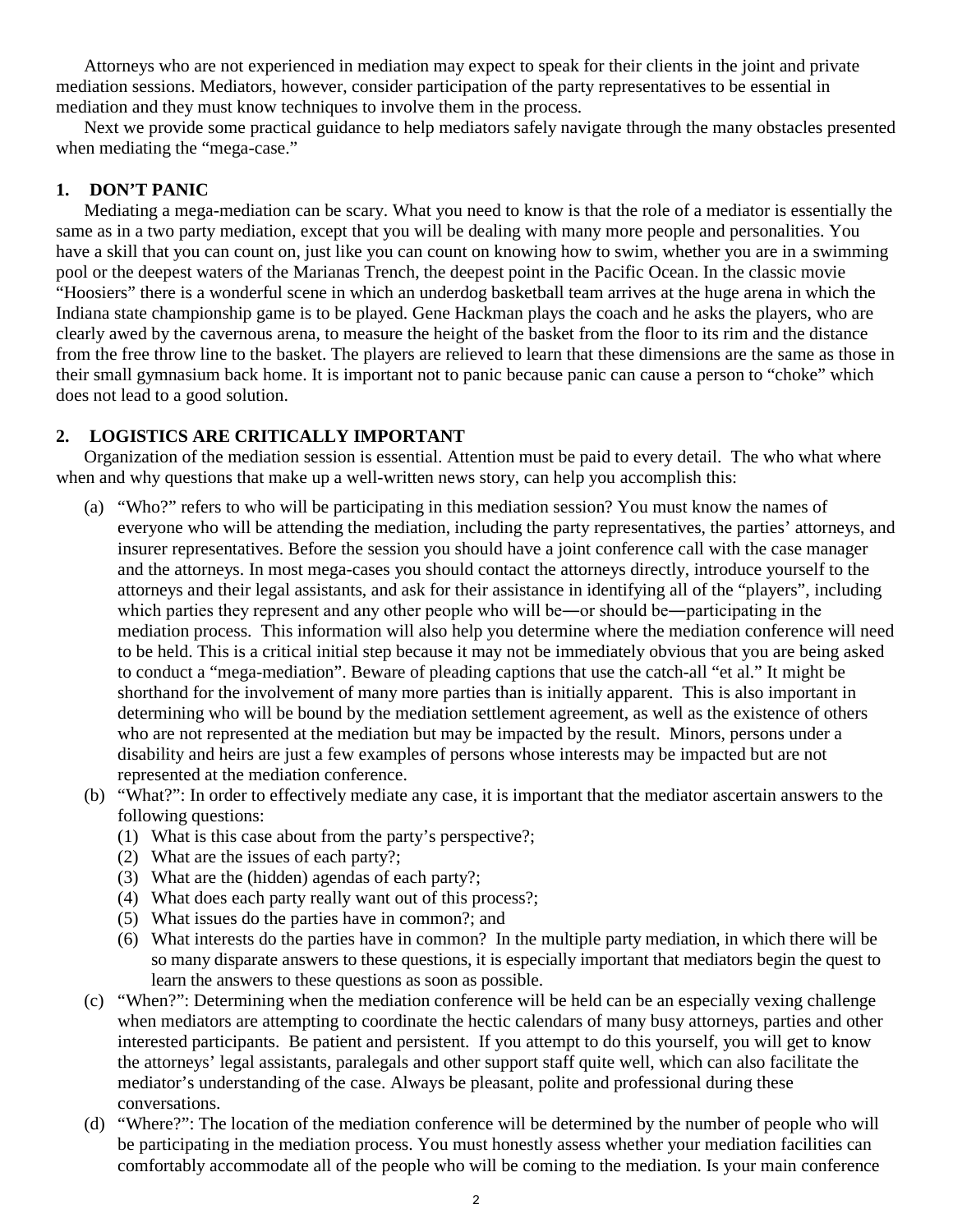Attorneys who are not experienced in mediation may expect to speak for their clients in the joint and private mediation sessions. Mediators, however, consider participation of the party representatives to be essential in mediation and they must know techniques to involve them in the process.

Next we provide some practical guidance to help mediators safely navigate through the many obstacles presented when mediating the "mega-case."

### **1. DON'T PANIC**

Mediating a mega-mediation can be scary. What you need to know is that the role of a mediator is essentially the same as in a two party mediation, except that you will be dealing with many more people and personalities. You have a skill that you can count on, just like you can count on knowing how to swim, whether you are in a swimming pool or the deepest waters of the Marianas Trench, the deepest point in the Pacific Ocean. In the classic movie "Hoosiers" there is a wonderful scene in which an underdog basketball team arrives at the huge arena in which the Indiana state championship game is to be played. Gene Hackman plays the coach and he asks the players, who are clearly awed by the cavernous arena, to measure the height of the basket from the floor to its rim and the distance from the free throw line to the basket. The players are relieved to learn that these dimensions are the same as those in their small gymnasium back home. It is important not to panic because panic can cause a person to "choke" which does not lead to a good solution.

## **2. LOGISTICS ARE CRITICALLY IMPORTANT**

Organization of the mediation session is essential. Attention must be paid to every detail. The who what where when and why questions that make up a well-written news story, can help you accomplish this:

- (a) "Who?" refers to who will be participating in this mediation session? You must know the names of everyone who will be attending the mediation, including the party representatives, the parties' attorneys, and insurer representatives. Before the session you should have a joint conference call with the case manager and the attorneys. In most mega-cases you should contact the attorneys directly, introduce yourself to the attorneys and their legal assistants, and ask for their assistance in identifying all of the "players", including which parties they represent and any other people who will be—or should be—participating in the mediation process. This information will also help you determine where the mediation conference will need to be held. This is a critical initial step because it may not be immediately obvious that you are being asked to conduct a "mega-mediation". Beware of pleading captions that use the catch-all "et al." It might be shorthand for the involvement of many more parties than is initially apparent. This is also important in determining who will be bound by the mediation settlement agreement, as well as the existence of others who are not represented at the mediation but may be impacted by the result. Minors, persons under a disability and heirs are just a few examples of persons whose interests may be impacted but are not represented at the mediation conference.
- (b) "What?": In order to effectively mediate any case, it is important that the mediator ascertain answers to the following questions:
	- (1) What is this case about from the party's perspective?;
	- (2) What are the issues of each party?;
	- (3) What are the (hidden) agendas of each party?;
	- (4) What does each party really want out of this process?;
	- (5) What issues do the parties have in common?; and
	- (6) What interests do the parties have in common? In the multiple party mediation, in which there will be so many disparate answers to these questions, it is especially important that mediators begin the quest to learn the answers to these questions as soon as possible.
- (c) "When?": Determining when the mediation conference will be held can be an especially vexing challenge when mediators are attempting to coordinate the hectic calendars of many busy attorneys, parties and other interested participants. Be patient and persistent. If you attempt to do this yourself, you will get to know the attorneys' legal assistants, paralegals and other support staff quite well, which can also facilitate the mediator's understanding of the case. Always be pleasant, polite and professional during these conversations.
- (d) "Where?": The location of the mediation conference will be determined by the number of people who will be participating in the mediation process. You must honestly assess whether your mediation facilities can comfortably accommodate all of the people who will be coming to the mediation. Is your main conference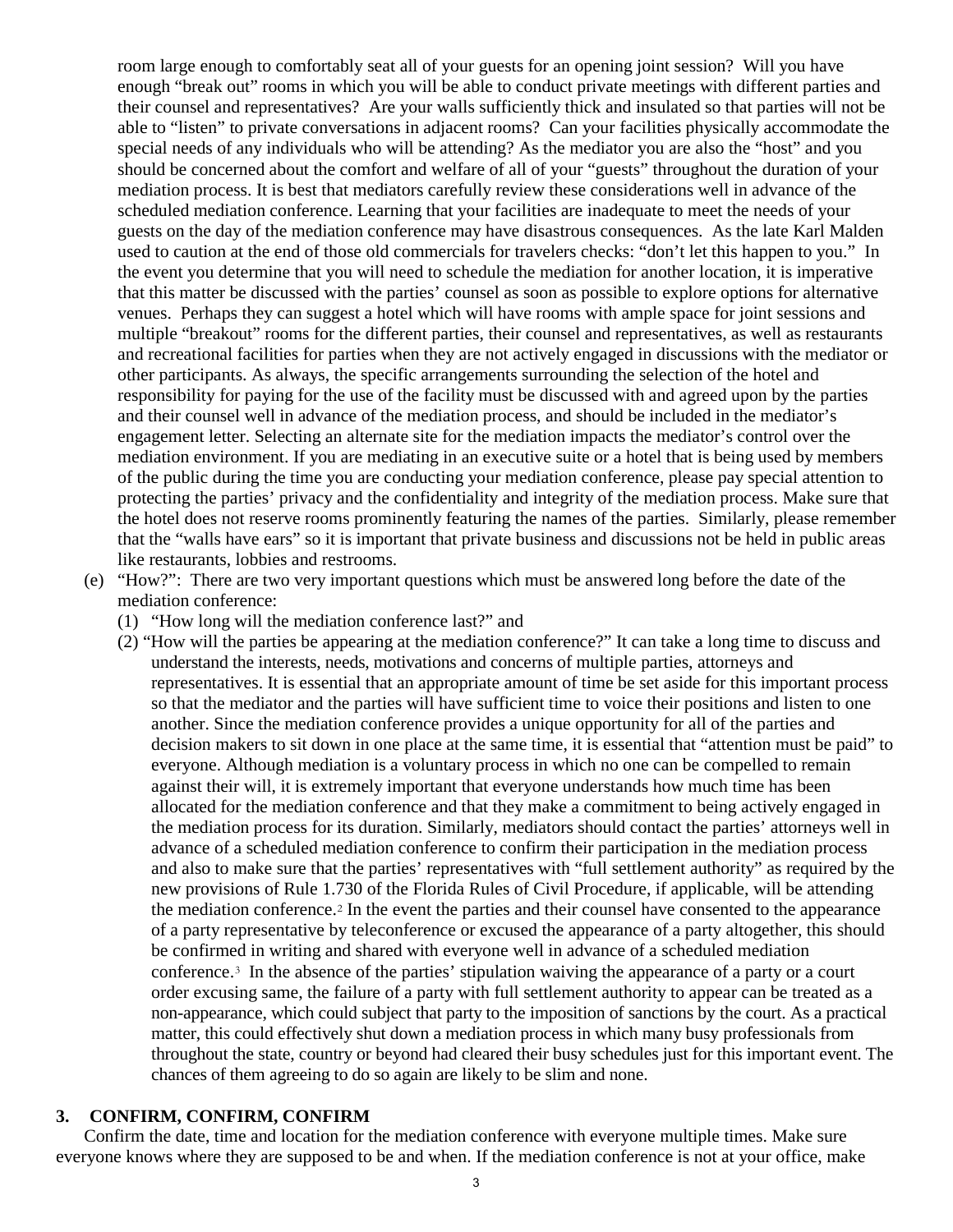room large enough to comfortably seat all of your guests for an opening joint session? Will you have enough "break out" rooms in which you will be able to conduct private meetings with different parties and their counsel and representatives? Are your walls sufficiently thick and insulated so that parties will not be able to "listen" to private conversations in adjacent rooms? Can your facilities physically accommodate the special needs of any individuals who will be attending? As the mediator you are also the "host" and you should be concerned about the comfort and welfare of all of your "guests" throughout the duration of your mediation process. It is best that mediators carefully review these considerations well in advance of the scheduled mediation conference. Learning that your facilities are inadequate to meet the needs of your guests on the day of the mediation conference may have disastrous consequences. As the late Karl Malden used to caution at the end of those old commercials for travelers checks: "don't let this happen to you." In the event you determine that you will need to schedule the mediation for another location, it is imperative that this matter be discussed with the parties' counsel as soon as possible to explore options for alternative venues. Perhaps they can suggest a hotel which will have rooms with ample space for joint sessions and multiple "breakout" rooms for the different parties, their counsel and representatives, as well as restaurants and recreational facilities for parties when they are not actively engaged in discussions with the mediator or other participants. As always, the specific arrangements surrounding the selection of the hotel and responsibility for paying for the use of the facility must be discussed with and agreed upon by the parties and their counsel well in advance of the mediation process, and should be included in the mediator's engagement letter. Selecting an alternate site for the mediation impacts the mediator's control over the mediation environment. If you are mediating in an executive suite or a hotel that is being used by members of the public during the time you are conducting your mediation conference, please pay special attention to protecting the parties' privacy and the confidentiality and integrity of the mediation process. Make sure that the hotel does not reserve rooms prominently featuring the names of the parties. Similarly, please remember that the "walls have ears" so it is important that private business and discussions not be held in public areas like restaurants, lobbies and restrooms.

- (e) "How?": There are two very important questions which must be answered long before the date of the mediation conference:
	- (1) "How long will the mediation conference last?" and
	- (2) "How will the parties be appearing at the mediation conference?" It can take a long time to discuss and understand the interests, needs, motivations and concerns of multiple parties, attorneys and representatives. It is essential that an appropriate amount of time be set aside for this important process so that the mediator and the parties will have sufficient time to voice their positions and listen to one another. Since the mediation conference provides a unique opportunity for all of the parties and decision makers to sit down in one place at the same time, it is essential that "attention must be paid" to everyone. Although mediation is a voluntary process in which no one can be compelled to remain against their will, it is extremely important that everyone understands how much time has been allocated for the mediation conference and that they make a commitment to being actively engaged in the mediation process for its duration. Similarly, mediators should contact the parties' attorneys well in advance of a scheduled mediation conference to confirm their participation in the mediation process and also to make sure that the parties' representatives with "full settlement authority" as required by the new provisions of Rule 1.730 of the Florida Rules of Civil Procedure, if applicable, will be attending the mediation conference.[2](#page--1-1) In the event the parties and their counsel have consented to the appearance of a party representative by teleconference or excused the appearance of a party altogether, this should be confirmed in writing and shared with everyone well in advance of a scheduled mediation conference.[3](#page--1-2) In the absence of the parties' stipulation waiving the appearance of a party or a court order excusing same, the failure of a party with full settlement authority to appear can be treated as a non-appearance, which could subject that party to the imposition of sanctions by the court. As a practical matter, this could effectively shut down a mediation process in which many busy professionals from throughout the state, country or beyond had cleared their busy schedules just for this important event. The chances of them agreeing to do so again are likely to be slim and none.

#### **3. CONFIRM, CONFIRM, CONFIRM**

Confirm the date, time and location for the mediation conference with everyone multiple times. Make sure everyone knows where they are supposed to be and when. If the mediation conference is not at your office, make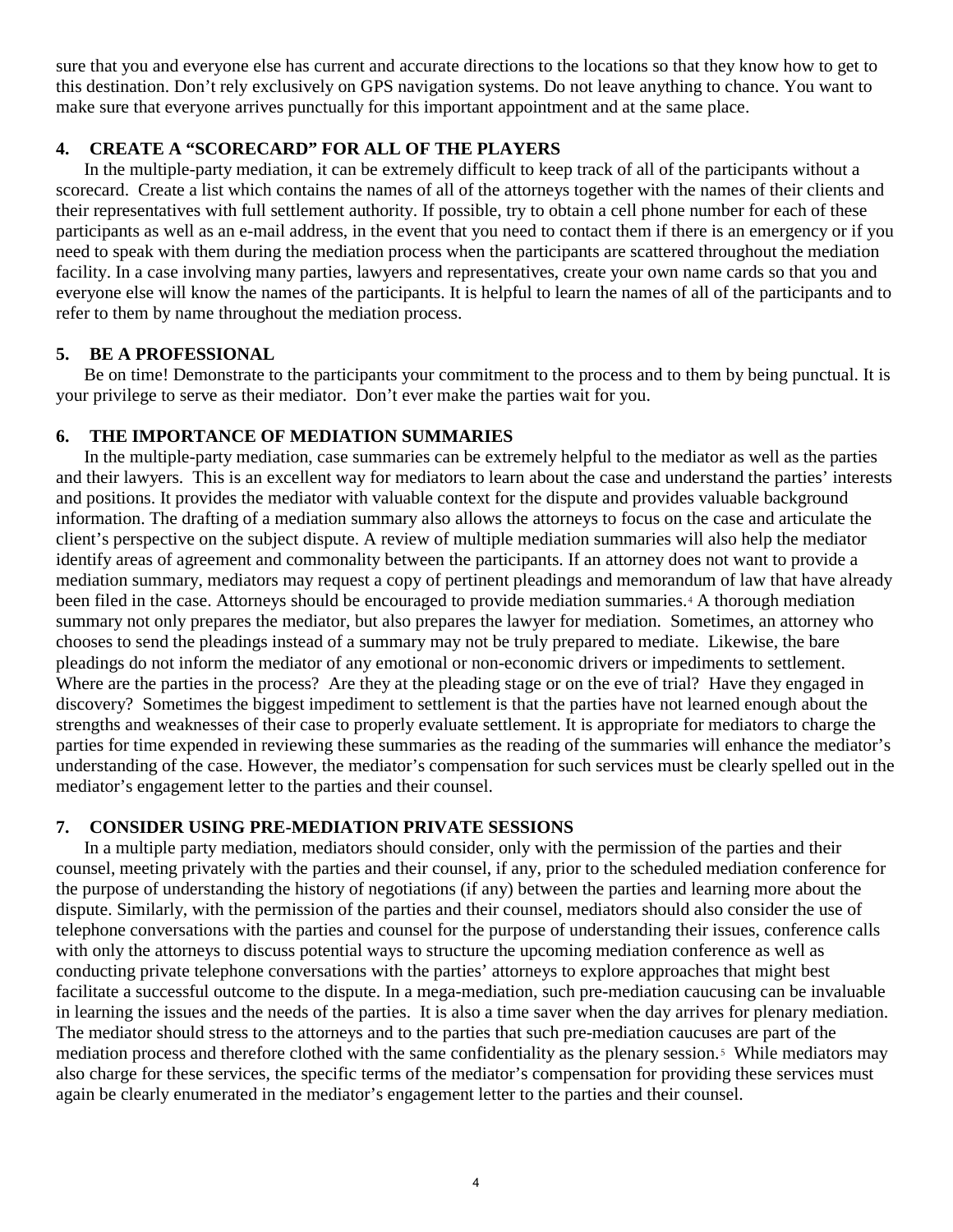sure that you and everyone else has current and accurate directions to the locations so that they know how to get to this destination. Don't rely exclusively on GPS navigation systems. Do not leave anything to chance. You want to make sure that everyone arrives punctually for this important appointment and at the same place.

## **4. CREATE A "SCORECARD" FOR ALL OF THE PLAYERS**

In the multiple-party mediation, it can be extremely difficult to keep track of all of the participants without a scorecard. Create a list which contains the names of all of the attorneys together with the names of their clients and their representatives with full settlement authority. If possible, try to obtain a cell phone number for each of these participants as well as an e-mail address, in the event that you need to contact them if there is an emergency or if you need to speak with them during the mediation process when the participants are scattered throughout the mediation facility. In a case involving many parties, lawyers and representatives, create your own name cards so that you and everyone else will know the names of the participants. It is helpful to learn the names of all of the participants and to refer to them by name throughout the mediation process.

### **5. BE A PROFESSIONAL**

Be on time! Demonstrate to the participants your commitment to the process and to them by being punctual. It is your privilege to serve as their mediator. Don't ever make the parties wait for you.

### **6. THE IMPORTANCE OF MEDIATION SUMMARIES**

In the multiple-party mediation, case summaries can be extremely helpful to the mediator as well as the parties and their lawyers. This is an excellent way for mediators to learn about the case and understand the parties' interests and positions. It provides the mediator with valuable context for the dispute and provides valuable background information. The drafting of a mediation summary also allows the attorneys to focus on the case and articulate the client's perspective on the subject dispute. A review of multiple mediation summaries will also help the mediator identify areas of agreement and commonality between the participants. If an attorney does not want to provide a mediation summary, mediators may request a copy of pertinent pleadings and memorandum of law that have already been filed in the case. Attorneys should be encouraged to provide mediation summaries.[4](#page--1-3) A thorough mediation summary not only prepares the mediator, but also prepares the lawyer for mediation. Sometimes, an attorney who chooses to send the pleadings instead of a summary may not be truly prepared to mediate. Likewise, the bare pleadings do not inform the mediator of any emotional or non-economic drivers or impediments to settlement. Where are the parties in the process? Are they at the pleading stage or on the eve of trial? Have they engaged in discovery? Sometimes the biggest impediment to settlement is that the parties have not learned enough about the strengths and weaknesses of their case to properly evaluate settlement. It is appropriate for mediators to charge the parties for time expended in reviewing these summaries as the reading of the summaries will enhance the mediator's understanding of the case. However, the mediator's compensation for such services must be clearly spelled out in the mediator's engagement letter to the parties and their counsel.

### **7. CONSIDER USING PRE-MEDIATION PRIVATE SESSIONS**

In a multiple party mediation, mediators should consider, only with the permission of the parties and their counsel, meeting privately with the parties and their counsel, if any, prior to the scheduled mediation conference for the purpose of understanding the history of negotiations (if any) between the parties and learning more about the dispute. Similarly, with the permission of the parties and their counsel, mediators should also consider the use of telephone conversations with the parties and counsel for the purpose of understanding their issues, conference calls with only the attorneys to discuss potential ways to structure the upcoming mediation conference as well as conducting private telephone conversations with the parties' attorneys to explore approaches that might best facilitate a successful outcome to the dispute. In a mega-mediation, such pre-mediation caucusing can be invaluable in learning the issues and the needs of the parties. It is also a time saver when the day arrives for plenary mediation. The mediator should stress to the attorneys and to the parties that such pre-mediation caucuses are part of the mediation process and therefore clothed with the same confidentiality as the plenary session.[5](#page--1-4) While mediators may also charge for these services, the specific terms of the mediator's compensation for providing these services must again be clearly enumerated in the mediator's engagement letter to the parties and their counsel.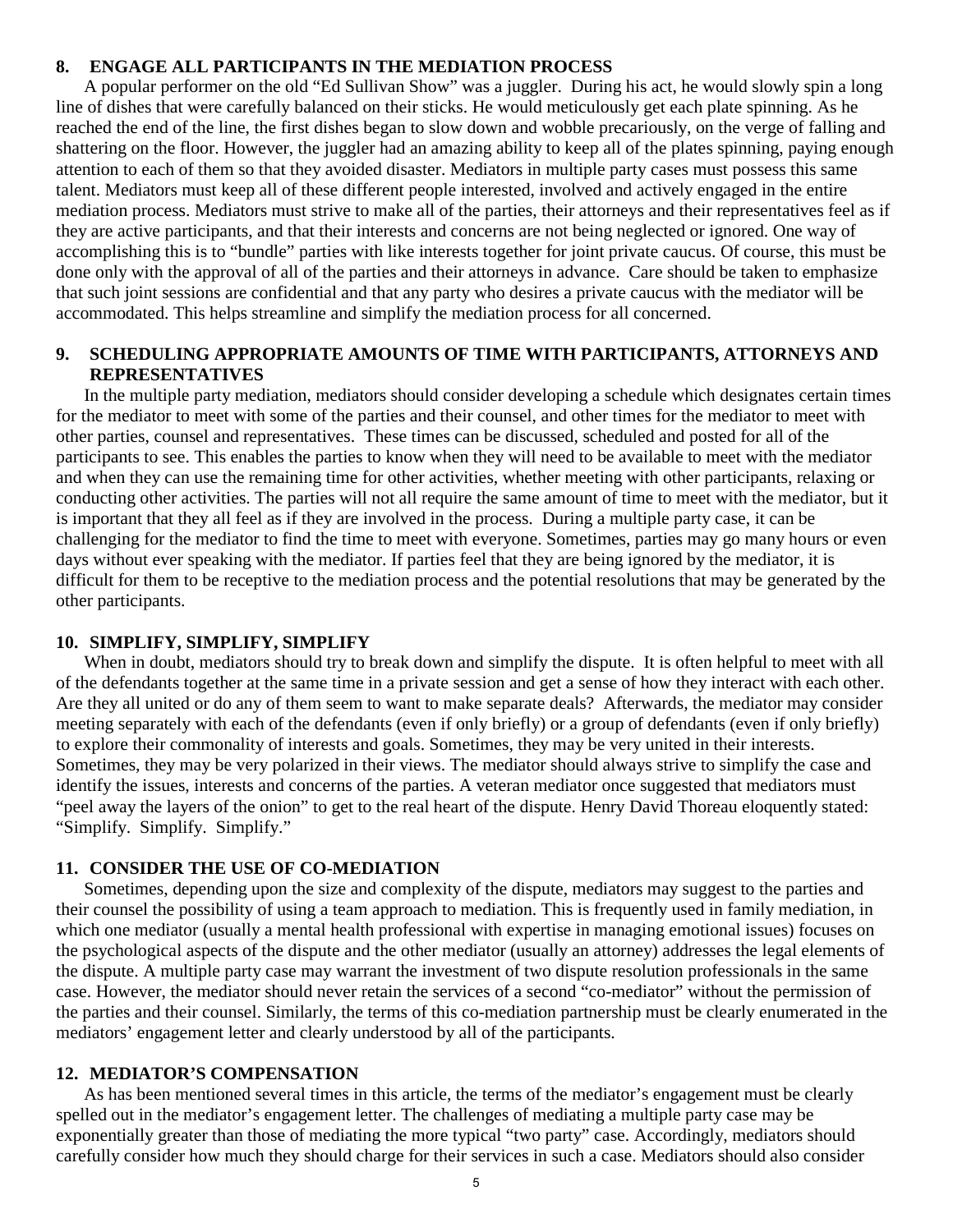#### **8. ENGAGE ALL PARTICIPANTS IN THE MEDIATION PROCESS**

A popular performer on the old "Ed Sullivan Show" was a juggler. During his act, he would slowly spin a long line of dishes that were carefully balanced on their sticks. He would meticulously get each plate spinning. As he reached the end of the line, the first dishes began to slow down and wobble precariously, on the verge of falling and shattering on the floor. However, the juggler had an amazing ability to keep all of the plates spinning, paying enough attention to each of them so that they avoided disaster. Mediators in multiple party cases must possess this same talent. Mediators must keep all of these different people interested, involved and actively engaged in the entire mediation process. Mediators must strive to make all of the parties, their attorneys and their representatives feel as if they are active participants, and that their interests and concerns are not being neglected or ignored. One way of accomplishing this is to "bundle" parties with like interests together for joint private caucus. Of course, this must be done only with the approval of all of the parties and their attorneys in advance. Care should be taken to emphasize that such joint sessions are confidential and that any party who desires a private caucus with the mediator will be accommodated. This helps streamline and simplify the mediation process for all concerned.

### **9. SCHEDULING APPROPRIATE AMOUNTS OF TIME WITH PARTICIPANTS, ATTORNEYS AND REPRESENTATIVES**

In the multiple party mediation, mediators should consider developing a schedule which designates certain times for the mediator to meet with some of the parties and their counsel, and other times for the mediator to meet with other parties, counsel and representatives. These times can be discussed, scheduled and posted for all of the participants to see. This enables the parties to know when they will need to be available to meet with the mediator and when they can use the remaining time for other activities, whether meeting with other participants, relaxing or conducting other activities. The parties will not all require the same amount of time to meet with the mediator, but it is important that they all feel as if they are involved in the process. During a multiple party case, it can be challenging for the mediator to find the time to meet with everyone. Sometimes, parties may go many hours or even days without ever speaking with the mediator. If parties feel that they are being ignored by the mediator, it is difficult for them to be receptive to the mediation process and the potential resolutions that may be generated by the other participants.

#### **10. SIMPLIFY, SIMPLIFY, SIMPLIFY**

When in doubt, mediators should try to break down and simplify the dispute. It is often helpful to meet with all of the defendants together at the same time in a private session and get a sense of how they interact with each other. Are they all united or do any of them seem to want to make separate deals? Afterwards, the mediator may consider meeting separately with each of the defendants (even if only briefly) or a group of defendants (even if only briefly) to explore their commonality of interests and goals. Sometimes, they may be very united in their interests. Sometimes, they may be very polarized in their views. The mediator should always strive to simplify the case and identify the issues, interests and concerns of the parties. A veteran mediator once suggested that mediators must "peel away the layers of the onion" to get to the real heart of the dispute. Henry David Thoreau eloquently stated: "Simplify. Simplify. Simplify."

#### **11. CONSIDER THE USE OF CO-MEDIATION**

Sometimes, depending upon the size and complexity of the dispute, mediators may suggest to the parties and their counsel the possibility of using a team approach to mediation. This is frequently used in family mediation, in which one mediator (usually a mental health professional with expertise in managing emotional issues) focuses on the psychological aspects of the dispute and the other mediator (usually an attorney) addresses the legal elements of the dispute. A multiple party case may warrant the investment of two dispute resolution professionals in the same case. However, the mediator should never retain the services of a second "co-mediator" without the permission of the parties and their counsel. Similarly, the terms of this co-mediation partnership must be clearly enumerated in the mediators' engagement letter and clearly understood by all of the participants.

#### **12. MEDIATOR'S COMPENSATION**

As has been mentioned several times in this article, the terms of the mediator's engagement must be clearly spelled out in the mediator's engagement letter. The challenges of mediating a multiple party case may be exponentially greater than those of mediating the more typical "two party" case. Accordingly, mediators should carefully consider how much they should charge for their services in such a case. Mediators should also consider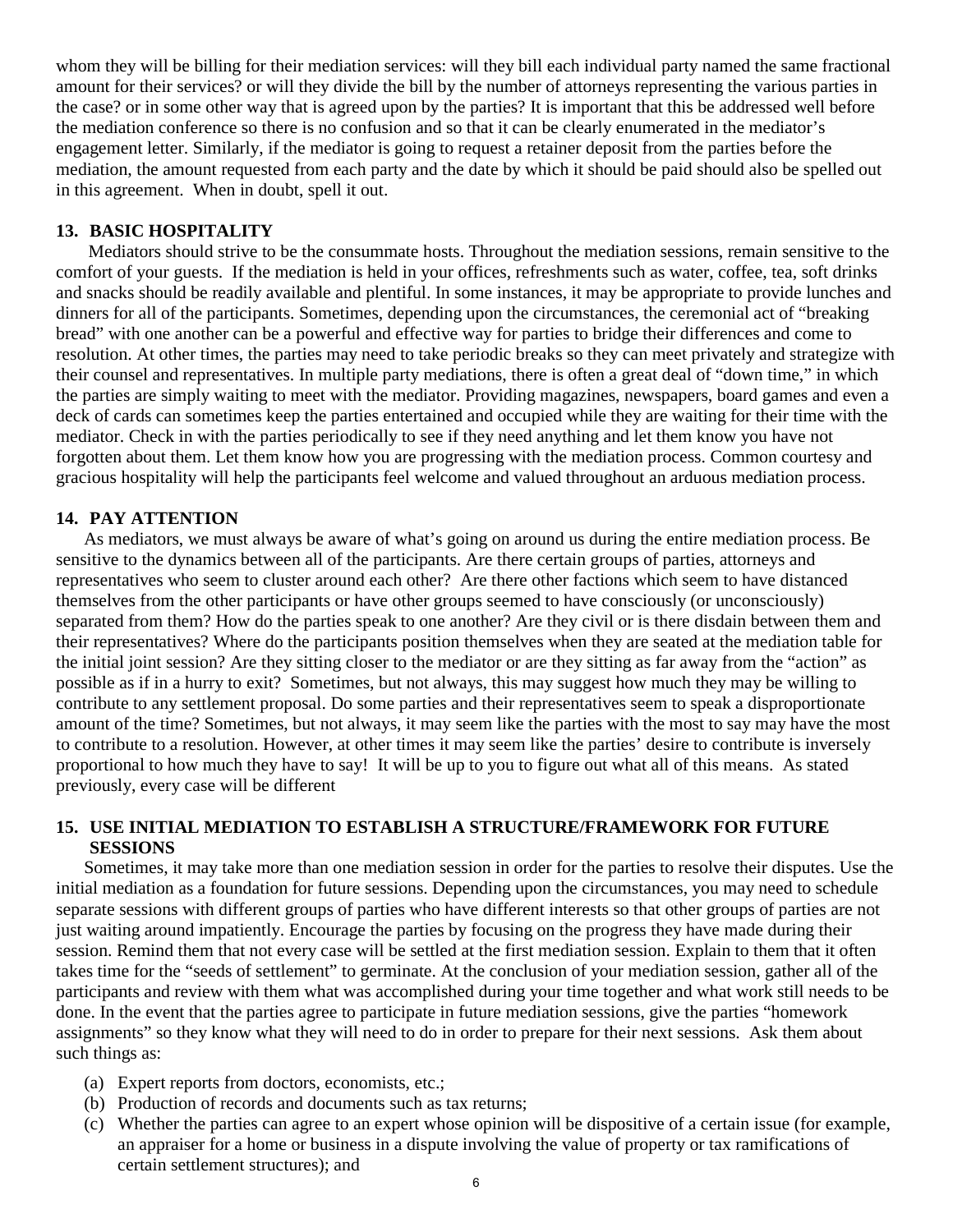whom they will be billing for their mediation services: will they bill each individual party named the same fractional amount for their services? or will they divide the bill by the number of attorneys representing the various parties in the case? or in some other way that is agreed upon by the parties? It is important that this be addressed well before the mediation conference so there is no confusion and so that it can be clearly enumerated in the mediator's engagement letter. Similarly, if the mediator is going to request a retainer deposit from the parties before the mediation, the amount requested from each party and the date by which it should be paid should also be spelled out in this agreement. When in doubt, spell it out.

## **13. BASIC HOSPITALITY**

Mediators should strive to be the consummate hosts. Throughout the mediation sessions, remain sensitive to the comfort of your guests. If the mediation is held in your offices, refreshments such as water, coffee, tea, soft drinks and snacks should be readily available and plentiful. In some instances, it may be appropriate to provide lunches and dinners for all of the participants. Sometimes, depending upon the circumstances, the ceremonial act of "breaking bread" with one another can be a powerful and effective way for parties to bridge their differences and come to resolution. At other times, the parties may need to take periodic breaks so they can meet privately and strategize with their counsel and representatives. In multiple party mediations, there is often a great deal of "down time," in which the parties are simply waiting to meet with the mediator. Providing magazines, newspapers, board games and even a deck of cards can sometimes keep the parties entertained and occupied while they are waiting for their time with the mediator. Check in with the parties periodically to see if they need anything and let them know you have not forgotten about them. Let them know how you are progressing with the mediation process. Common courtesy and gracious hospitality will help the participants feel welcome and valued throughout an arduous mediation process.

### **14. PAY ATTENTION**

As mediators, we must always be aware of what's going on around us during the entire mediation process. Be sensitive to the dynamics between all of the participants. Are there certain groups of parties, attorneys and representatives who seem to cluster around each other? Are there other factions which seem to have distanced themselves from the other participants or have other groups seemed to have consciously (or unconsciously) separated from them? How do the parties speak to one another? Are they civil or is there disdain between them and their representatives? Where do the participants position themselves when they are seated at the mediation table for the initial joint session? Are they sitting closer to the mediator or are they sitting as far away from the "action" as possible as if in a hurry to exit? Sometimes, but not always, this may suggest how much they may be willing to contribute to any settlement proposal. Do some parties and their representatives seem to speak a disproportionate amount of the time? Sometimes, but not always, it may seem like the parties with the most to say may have the most to contribute to a resolution. However, at other times it may seem like the parties' desire to contribute is inversely proportional to how much they have to say! It will be up to you to figure out what all of this means. As stated previously, every case will be different

## **15. USE INITIAL MEDIATION TO ESTABLISH A STRUCTURE/FRAMEWORK FOR FUTURE SESSIONS**

Sometimes, it may take more than one mediation session in order for the parties to resolve their disputes. Use the initial mediation as a foundation for future sessions. Depending upon the circumstances, you may need to schedule separate sessions with different groups of parties who have different interests so that other groups of parties are not just waiting around impatiently. Encourage the parties by focusing on the progress they have made during their session. Remind them that not every case will be settled at the first mediation session. Explain to them that it often takes time for the "seeds of settlement" to germinate. At the conclusion of your mediation session, gather all of the participants and review with them what was accomplished during your time together and what work still needs to be done. In the event that the parties agree to participate in future mediation sessions, give the parties "homework assignments" so they know what they will need to do in order to prepare for their next sessions. Ask them about such things as:

- (a) Expert reports from doctors, economists, etc.;
- (b) Production of records and documents such as tax returns;
- (c) Whether the parties can agree to an expert whose opinion will be dispositive of a certain issue (for example, an appraiser for a home or business in a dispute involving the value of property or tax ramifications of certain settlement structures); and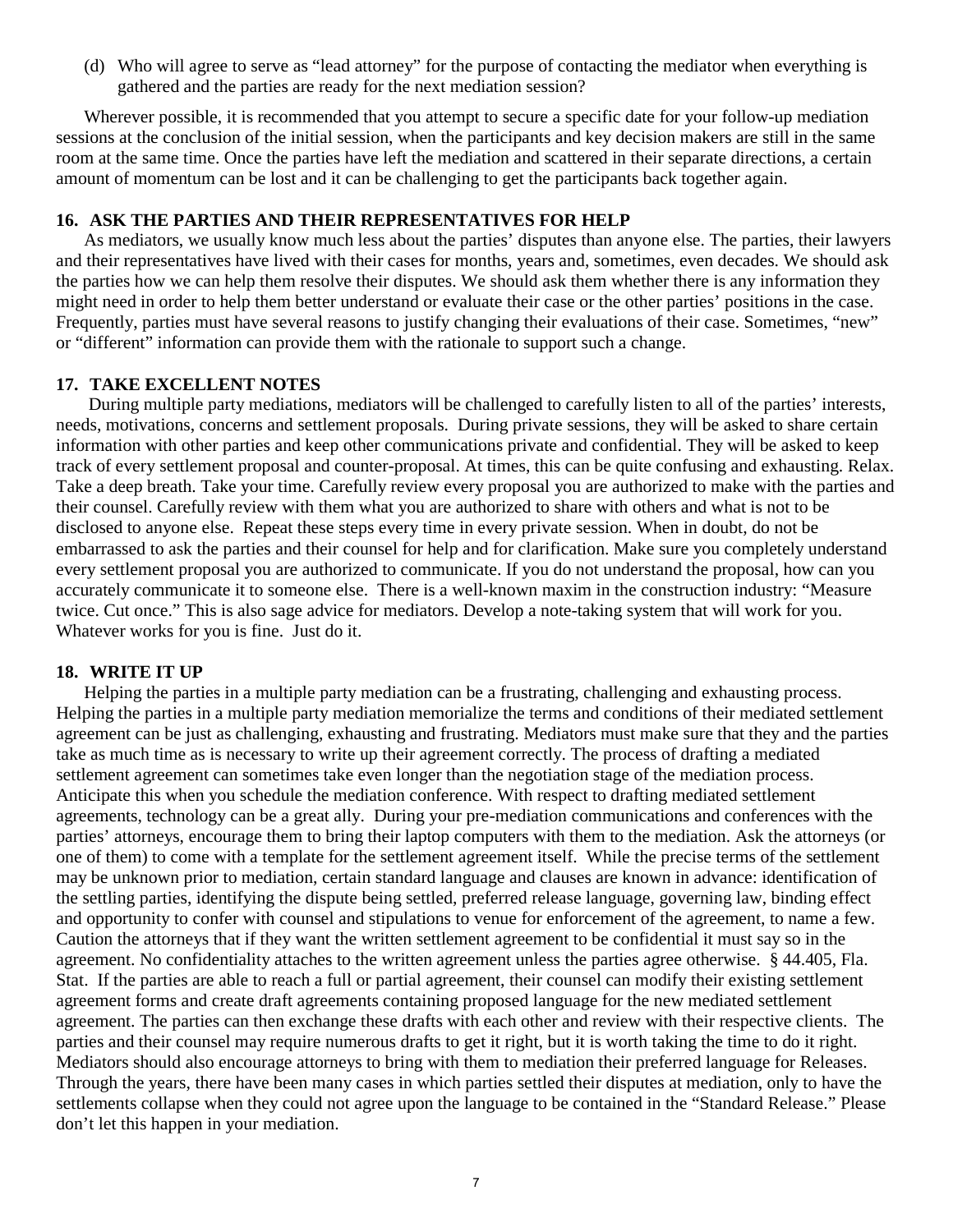(d) Who will agree to serve as "lead attorney" for the purpose of contacting the mediator when everything is gathered and the parties are ready for the next mediation session?

Wherever possible, it is recommended that you attempt to secure a specific date for your follow-up mediation sessions at the conclusion of the initial session, when the participants and key decision makers are still in the same room at the same time. Once the parties have left the mediation and scattered in their separate directions, a certain amount of momentum can be lost and it can be challenging to get the participants back together again.

### **16. ASK THE PARTIES AND THEIR REPRESENTATIVES FOR HELP**

As mediators, we usually know much less about the parties' disputes than anyone else. The parties, their lawyers and their representatives have lived with their cases for months, years and, sometimes, even decades. We should ask the parties how we can help them resolve their disputes. We should ask them whether there is any information they might need in order to help them better understand or evaluate their case or the other parties' positions in the case. Frequently, parties must have several reasons to justify changing their evaluations of their case. Sometimes, "new" or "different" information can provide them with the rationale to support such a change.

### **17. TAKE EXCELLENT NOTES**

During multiple party mediations, mediators will be challenged to carefully listen to all of the parties' interests, needs, motivations, concerns and settlement proposals. During private sessions, they will be asked to share certain information with other parties and keep other communications private and confidential. They will be asked to keep track of every settlement proposal and counter-proposal. At times, this can be quite confusing and exhausting. Relax. Take a deep breath. Take your time. Carefully review every proposal you are authorized to make with the parties and their counsel. Carefully review with them what you are authorized to share with others and what is not to be disclosed to anyone else. Repeat these steps every time in every private session. When in doubt, do not be embarrassed to ask the parties and their counsel for help and for clarification. Make sure you completely understand every settlement proposal you are authorized to communicate. If you do not understand the proposal, how can you accurately communicate it to someone else. There is a well-known maxim in the construction industry: "Measure twice. Cut once." This is also sage advice for mediators. Develop a note-taking system that will work for you. Whatever works for you is fine. Just do it.

#### **18. WRITE IT UP**

Helping the parties in a multiple party mediation can be a frustrating, challenging and exhausting process. Helping the parties in a multiple party mediation memorialize the terms and conditions of their mediated settlement agreement can be just as challenging, exhausting and frustrating. Mediators must make sure that they and the parties take as much time as is necessary to write up their agreement correctly. The process of drafting a mediated settlement agreement can sometimes take even longer than the negotiation stage of the mediation process. Anticipate this when you schedule the mediation conference. With respect to drafting mediated settlement agreements, technology can be a great ally. During your pre-mediation communications and conferences with the parties' attorneys, encourage them to bring their laptop computers with them to the mediation. Ask the attorneys (or one of them) to come with a template for the settlement agreement itself. While the precise terms of the settlement may be unknown prior to mediation, certain standard language and clauses are known in advance: identification of the settling parties, identifying the dispute being settled, preferred release language, governing law, binding effect and opportunity to confer with counsel and stipulations to venue for enforcement of the agreement, to name a few. Caution the attorneys that if they want the written settlement agreement to be confidential it must say so in the agreement. No confidentiality attaches to the written agreement unless the parties agree otherwise. § 44.405, Fla. Stat. If the parties are able to reach a full or partial agreement, their counsel can modify their existing settlement agreement forms and create draft agreements containing proposed language for the new mediated settlement agreement. The parties can then exchange these drafts with each other and review with their respective clients. The parties and their counsel may require numerous drafts to get it right, but it is worth taking the time to do it right. Mediators should also encourage attorneys to bring with them to mediation their preferred language for Releases. Through the years, there have been many cases in which parties settled their disputes at mediation, only to have the settlements collapse when they could not agree upon the language to be contained in the "Standard Release." Please don't let this happen in your mediation.